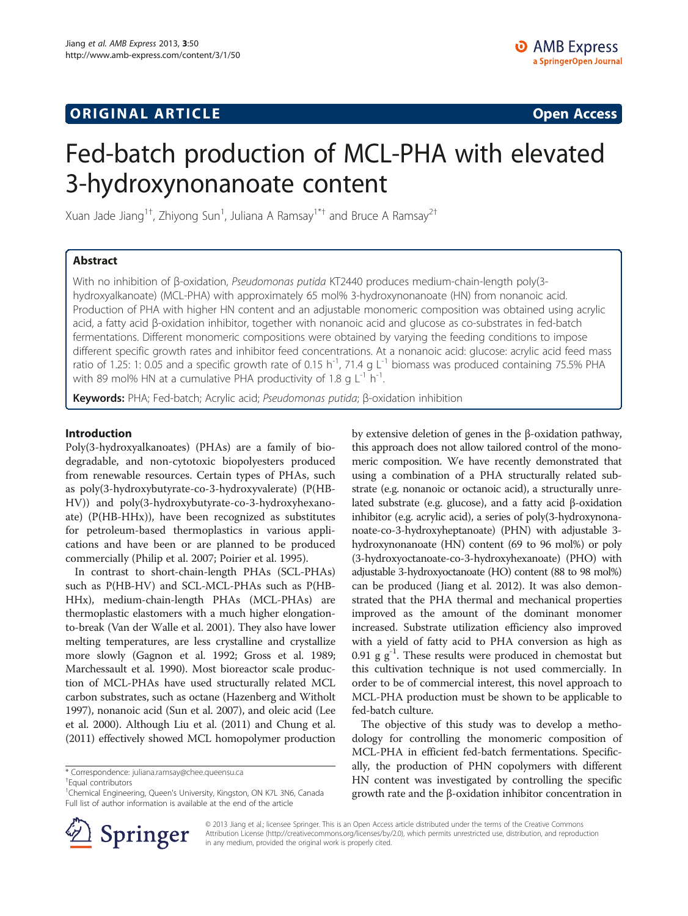# **ORIGINAL ARTICLE CONSERVANCE IN A LOCAL CONSERVANCE IN A LOCAL CONSERVANCE IN A LOCAL CONSERVANCE IN A LOCAL CONSERVANCE IN A LOCAL CONSERVANCE IN A LOCAL CONSERVANCE IN A LOCAL CONSERVANCE IN A LOCAL CONSERVANCE IN A L**

# Fed-batch production of MCL-PHA with elevated 3-hydroxynonanoate content

Xuan Jade Jiang<sup>1†</sup>, Zhiyong Sun<sup>1</sup>, Juliana A Ramsay<sup>1\*†</sup> and Bruce A Ramsay<sup>2†</sup>

## Abstract

With no inhibition of β-oxidation, Pseudomonas putida KT2440 produces medium-chain-length poly(3 hydroxyalkanoate) (MCL-PHA) with approximately 65 mol% 3-hydroxynonanoate (HN) from nonanoic acid. Production of PHA with higher HN content and an adjustable monomeric composition was obtained using acrylic acid, a fatty acid β-oxidation inhibitor, together with nonanoic acid and glucose as co-substrates in fed-batch fermentations. Different monomeric compositions were obtained by varying the feeding conditions to impose different specific growth rates and inhibitor feed concentrations. At a nonanoic acid: glucose: acrylic acid feed mass ratio of 1.25: 1: 0.05 and a specific growth rate of 0.15 h<sup>-1</sup>, 71.4 g L<sup>-1</sup> biomass was produced containing 75.5% PHA with 89 mol% HN at a cumulative PHA productivity of 1.8 g  $L^{-1}$  h<sup>-1</sup>.

Keywords: PHA; Fed-batch; Acrylic acid; Pseudomonas putida; β-oxidation inhibition

## Introduction

Poly(3-hydroxyalkanoates) (PHAs) are a family of biodegradable, and non-cytotoxic biopolyesters produced from renewable resources. Certain types of PHAs, such as poly(3-hydroxybutyrate-co-3-hydroxyvalerate) (P(HB-HV)) and poly(3-hydroxybutyrate-co-3-hydroxyhexanoate) (P(HB-HHx)), have been recognized as substitutes for petroleum-based thermoplastics in various applications and have been or are planned to be produced commercially (Philip et al. [2007](#page-7-0); Poirier et al. [1995\)](#page-7-0).

In contrast to short-chain-length PHAs (SCL-PHAs) such as P(HB-HV) and SCL-MCL-PHAs such as P(HB-HHx), medium-chain-length PHAs (MCL-PHAs) are thermoplastic elastomers with a much higher elongationto-break (Van der Walle et al. [2001](#page-7-0)). They also have lower melting temperatures, are less crystalline and crystallize more slowly (Gagnon et al. [1992](#page-7-0); Gross et al. [1989](#page-7-0); Marchessault et al. [1990](#page-7-0)). Most bioreactor scale production of MCL-PHAs have used structurally related MCL carbon substrates, such as octane (Hazenberg and Witholt [1997\)](#page-7-0), nonanoic acid (Sun et al. [2007\)](#page-7-0), and oleic acid (Lee et al. [2000\)](#page-7-0). Although Liu et al. ([2011\)](#page-7-0) and Chung et al. ([2011](#page-7-0)) effectively showed MCL homopolymer production

\* Correspondence: [juliana.ramsay@chee.queensu.ca](mailto:juliana.ramsay@chee.queensu.ca) †

<sup>+</sup>Faual contributors

by extensive deletion of genes in the β-oxidation pathway, this approach does not allow tailored control of the monomeric composition. We have recently demonstrated that using a combination of a PHA structurally related substrate (e.g. nonanoic or octanoic acid), a structurally unrelated substrate (e.g. glucose), and a fatty acid β-oxidation inhibitor (e.g. acrylic acid), a series of poly(3-hydroxynonanoate-co-3-hydroxyheptanoate) (PHN) with adjustable 3 hydroxynonanoate (HN) content (69 to 96 mol%) or poly (3-hydroxyoctanoate-co-3-hydroxyhexanoate) (PHO) with adjustable 3-hydroxyoctanoate (HO) content (88 to 98 mol%) can be produced (Jiang et al. [2012](#page-7-0)). It was also demonstrated that the PHA thermal and mechanical properties improved as the amount of the dominant monomer increased. Substrate utilization efficiency also improved with a yield of fatty acid to PHA conversion as high as 0.91 g  $g^{-1}$ . These results were produced in chemostat but this cultivation technique is not used commercially. In order to be of commercial interest, this novel approach to MCL-PHA production must be shown to be applicable to fed-batch culture.

The objective of this study was to develop a methodology for controlling the monomeric composition of MCL-PHA in efficient fed-batch fermentations. Specifically, the production of PHN copolymers with different HN content was investigated by controlling the specific growth rate and the β-oxidation inhibitor concentration in



© 2013 Jiang et al.; licensee Springer. This is an Open Access article distributed under the terms of the Creative Commons Attribution License [\(http://creativecommons.org/licenses/by/2.0\)](http://creativecommons.org/licenses/by/2.0), which permits unrestricted use, distribution, and reproduction in any medium, provided the original work is properly cited.

<sup>&</sup>lt;sup>1</sup>Chemical Engineering, Queen's University, Kingston, ON K7L 3N6, Canada Full list of author information is available at the end of the article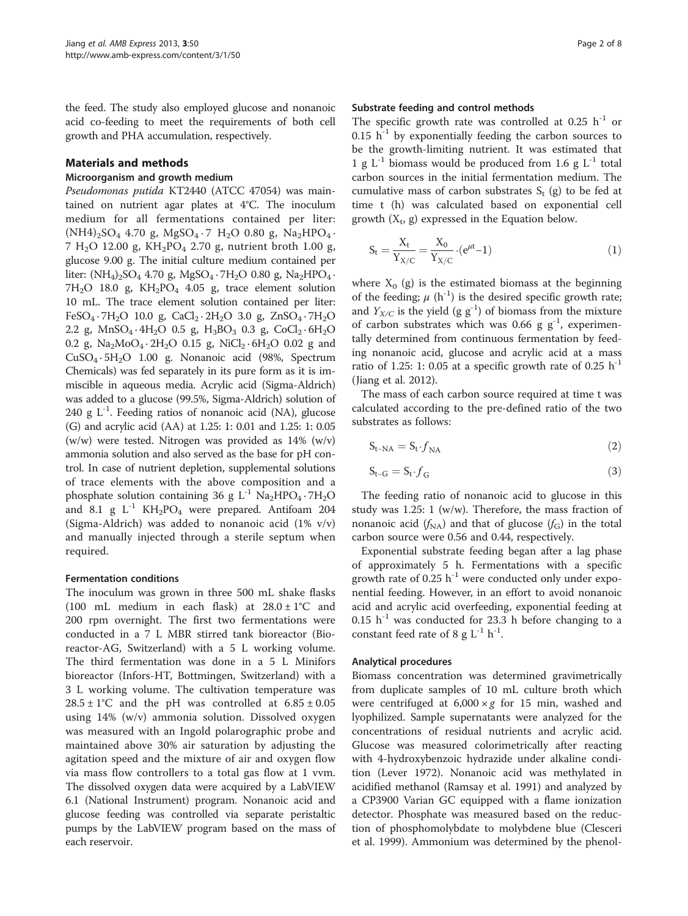the feed. The study also employed glucose and nonanoic acid co-feeding to meet the requirements of both cell growth and PHA accumulation, respectively.

## Materials and methods

## Microorganism and growth medium

Pseudomonas putida KT2440 (ATCC 47054) was maintained on nutrient agar plates at 4°C. The inoculum medium for all fermentations contained per liter:  $(NH4)_{2}SO_{4}$  4.70 g, MgSO<sub>4</sub> · 7 H<sub>2</sub>O 0.80 g, Na<sub>2</sub>HPO<sub>4</sub> ·  $7 H<sub>2</sub>O$  12.00 g, KH<sub>2</sub>PO<sub>4</sub> 2.70 g, nutrient broth 1.00 g, glucose 9.00 g. The initial culture medium contained per liter:  $(NH_4)$ <sub>2</sub>SO<sub>4</sub> 4.70 g, MgSO<sub>4</sub> · 7H<sub>2</sub>O 0.80 g, Na<sub>2</sub>HPO<sub>4</sub> ·  $7H<sub>2</sub>O$  18.0 g,  $KH<sub>2</sub>PO<sub>4</sub>$  4.05 g, trace element solution 10 mL. The trace element solution contained per liter: FeSO<sub>4</sub> · 7H<sub>2</sub>O 10.0 g, CaCl<sub>2</sub> · 2H<sub>2</sub>O 3.0 g, ZnSO<sub>4</sub> · 7H<sub>2</sub>O 2.2 g,  $MnSO_4 \cdot 4H_2O$  0.5 g,  $H_3BO_3$  0.3 g,  $CoCl_2 \cdot 6H_2O$ 0.2 g,  $Na_2MoO_4 \cdot 2H_2O$  0.15 g,  $NiCl_2 \cdot 6H_2O$  0.02 g and CuSO4 · 5H2O 1.00 g. Nonanoic acid (98%, Spectrum Chemicals) was fed separately in its pure form as it is immiscible in aqueous media. Acrylic acid (Sigma-Aldrich) was added to a glucose (99.5%, Sigma-Aldrich) solution of 240 g  $L^{-1}$ . Feeding ratios of nonanoic acid (NA), glucose (G) and acrylic acid (AA) at 1.25: 1: 0.01 and 1.25: 1: 0.05 (w/w) were tested. Nitrogen was provided as 14% (w/v) ammonia solution and also served as the base for pH control. In case of nutrient depletion, supplemental solutions of trace elements with the above composition and a phosphate solution containing 36 g  $L^{-1}$  Na<sub>2</sub>HPO<sub>4</sub> · 7H<sub>2</sub>O and 8.1 g  $L^{-1}$  KH<sub>2</sub>PO<sub>4</sub> were prepared. Antifoam 204 (Sigma-Aldrich) was added to nonanoic acid (1% v/v) and manually injected through a sterile septum when required.

## Fermentation conditions

The inoculum was grown in three 500 mL shake flasks (100 mL medium in each flask) at  $28.0 \pm 1^{\circ}$ C and 200 rpm overnight. The first two fermentations were conducted in a 7 L MBR stirred tank bioreactor (Bioreactor-AG, Switzerland) with a 5 L working volume. The third fermentation was done in a 5 L Minifors bioreactor (Infors-HT, Bottmingen, Switzerland) with a 3 L working volume. The cultivation temperature was  $28.5 \pm 1^{\circ}$ C and the pH was controlled at  $6.85 \pm 0.05$ using 14% (w/v) ammonia solution. Dissolved oxygen was measured with an Ingold polarographic probe and maintained above 30% air saturation by adjusting the agitation speed and the mixture of air and oxygen flow via mass flow controllers to a total gas flow at 1 vvm. The dissolved oxygen data were acquired by a LabVIEW 6.1 (National Instrument) program. Nonanoic acid and glucose feeding was controlled via separate peristaltic pumps by the LabVIEW program based on the mass of each reservoir.

#### Substrate feeding and control methods

The specific growth rate was controlled at 0.25  $h^{-1}$  or 0.15  $h^{-1}$  by exponentially feeding the carbon sources to be the growth-limiting nutrient. It was estimated that 1 g  $L^{-1}$  biomass would be produced from 1.6 g  $L^{-1}$  total carbon sources in the initial fermentation medium. The cumulative mass of carbon substrates  $S_t$  (g) to be fed at time t (h) was calculated based on exponential cell growth  $(X_t, g)$  expressed in the Equation below.

$$
S_t = \frac{X_t}{Y_{X/C}} = \frac{X_0}{Y_{X/C}} \cdot (e^{\mu t} - 1)
$$
 (1)

where  $X_0$  (g) is the estimated biomass at the beginning of the feeding;  $\mu$  (h<sup>-1</sup>) is the desired specific growth rate; and  $Y_{X/C}$  is the yield (g g<sup>-1</sup>) of biomass from the mixture of carbon substrates which was 0.66 g  $g^{-1}$ , experimentally determined from continuous fermentation by feeding nonanoic acid, glucose and acrylic acid at a mass ratio of 1.25: 1: 0.05 at a specific growth rate of 0.25  $h^{-1}$ (Jiang et al. [2012\)](#page-7-0).

The mass of each carbon source required at time t was calculated according to the pre-defined ratio of the two substrates as follows:

$$
S_{t-NA} = S_t \cdot f_{NA} \tag{2}
$$

$$
S_{t-G} = S_t \cdot f_G \tag{3}
$$

The feeding ratio of nonanoic acid to glucose in this study was 1.25: 1 (w/w). Therefore, the mass fraction of nonanoic acid  $(f_{NA})$  and that of glucose  $(f_G)$  in the total carbon source were 0.56 and 0.44, respectively.

Exponential substrate feeding began after a lag phase of approximately 5 h. Fermentations with a specific growth rate of 0.25  $h^{-1}$  were conducted only under exponential feeding. However, in an effort to avoid nonanoic acid and acrylic acid overfeeding, exponential feeding at  $0.15$  h<sup>-1</sup> was conducted for 23.3 h before changing to a constant feed rate of 8 g  $L^{-1}$  h<sup>-1</sup>.

## Analytical procedures

Biomass concentration was determined gravimetrically from duplicate samples of 10 mL culture broth which were centrifuged at  $6,000 \times g$  for 15 min, washed and lyophilized. Sample supernatants were analyzed for the concentrations of residual nutrients and acrylic acid. Glucose was measured colorimetrically after reacting with 4-hydroxybenzoic hydrazide under alkaline condition (Lever [1972](#page-7-0)). Nonanoic acid was methylated in acidified methanol (Ramsay et al. [1991](#page-7-0)) and analyzed by a CP3900 Varian GC equipped with a flame ionization detector. Phosphate was measured based on the reduction of phosphomolybdate to molybdene blue (Clesceri et al. [1999\)](#page-7-0). Ammonium was determined by the phenol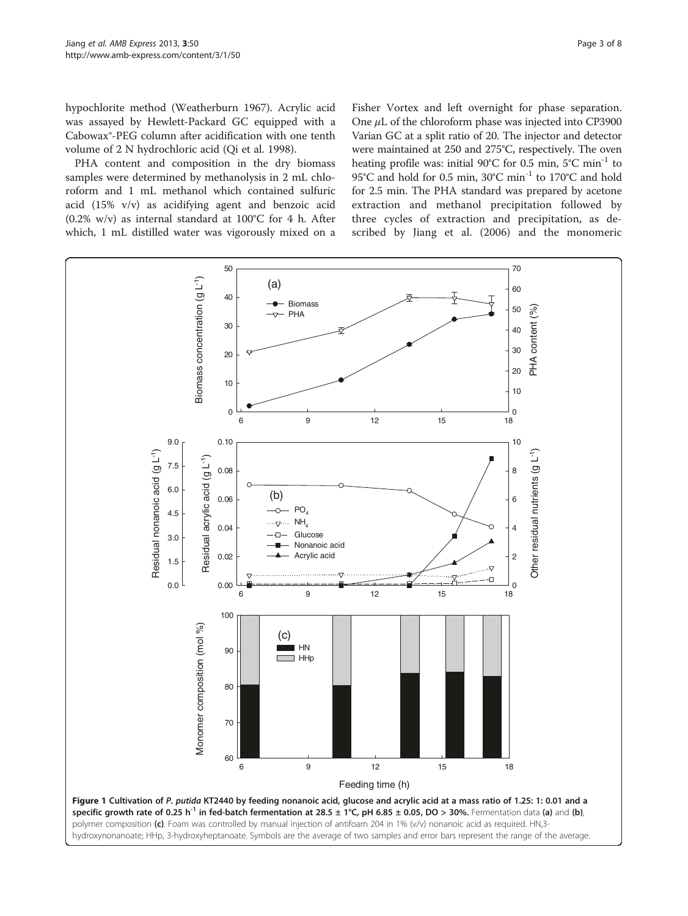<span id="page-2-0"></span>hypochlorite method (Weatherburn [1967\)](#page-7-0). Acrylic acid was assayed by Hewlett-Packard GC equipped with a Cabowax®-PEG column after acidification with one tenth volume of 2 N hydrochloric acid (Qi et al. [1998\)](#page-7-0).

PHA content and composition in the dry biomass samples were determined by methanolysis in 2 mL chloroform and 1 mL methanol which contained sulfuric acid (15% v/v) as acidifying agent and benzoic acid (0.2% w/v) as internal standard at  $100^{\circ}$ C for 4 h. After which, 1 mL distilled water was vigorously mixed on a

Fisher Vortex and left overnight for phase separation. One μL of the chloroform phase was injected into CP3900 Varian GC at a split ratio of 20. The injector and detector were maintained at 250 and 275°C, respectively. The oven heating profile was: initial 90°C for 0.5 min, 5°C min<sup>-1</sup> to 95°C and hold for 0.5 min, 30°C min<sup>-1</sup> to 170°C and hold for 2.5 min. The PHA standard was prepared by acetone extraction and methanol precipitation followed by three cycles of extraction and precipitation, as described by Jiang et al. ([2006\)](#page-7-0) and the monomeric

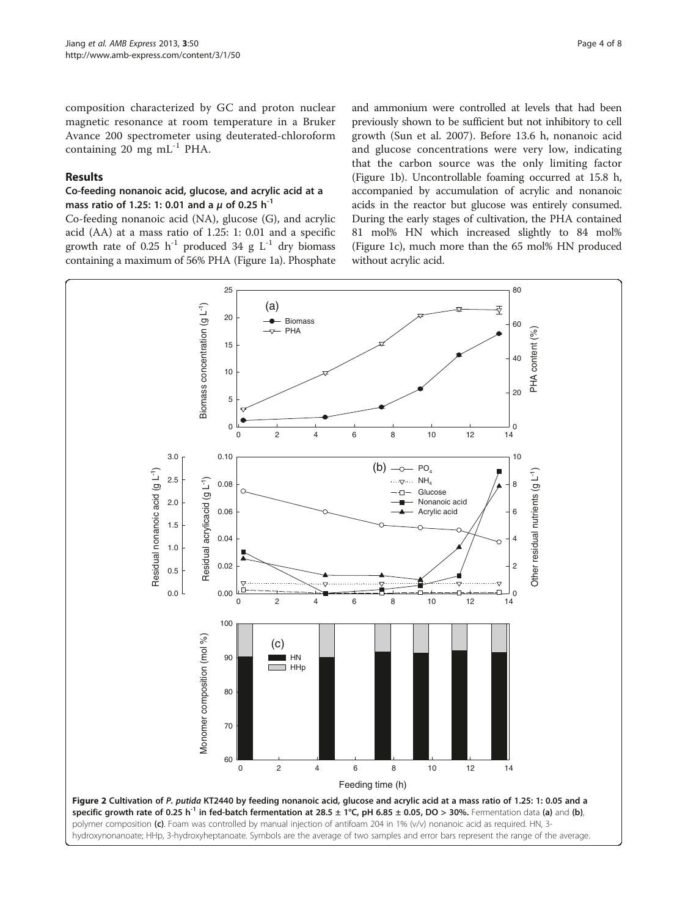<span id="page-3-0"></span>composition characterized by GC and proton nuclear magnetic resonance at room temperature in a Bruker Avance 200 spectrometer using deuterated-chloroform containing 20 mg  $mL^{-1}$  PHA.

## Results

## Co-feeding nonanoic acid, glucose, and acrylic acid at a mass ratio of 1.25: 1: 0.01 and a  $\mu$  of 0.25 h<sup>-1</sup>

Co-feeding nonanoic acid (NA), glucose (G), and acrylic acid (AA) at a mass ratio of 1.25: 1: 0.01 and a specific growth rate of 0.25 h<sup>-1</sup> produced 34 g  $L^{-1}$  dry biomass containing a maximum of 56% PHA (Figure [1a](#page-2-0)). Phosphate

and ammonium were controlled at levels that had been previously shown to be sufficient but not inhibitory to cell growth (Sun et al. [2007](#page-7-0)). Before 13.6 h, nonanoic acid and glucose concentrations were very low, indicating that the carbon source was the only limiting factor (Figure [1](#page-2-0)b). Uncontrollable foaming occurred at 15.8 h, accompanied by accumulation of acrylic and nonanoic acids in the reactor but glucose was entirely consumed. During the early stages of cultivation, the PHA contained 81 mol% HN which increased slightly to 84 mol% (Figure [1](#page-2-0)c), much more than the 65 mol% HN produced without acrylic acid.

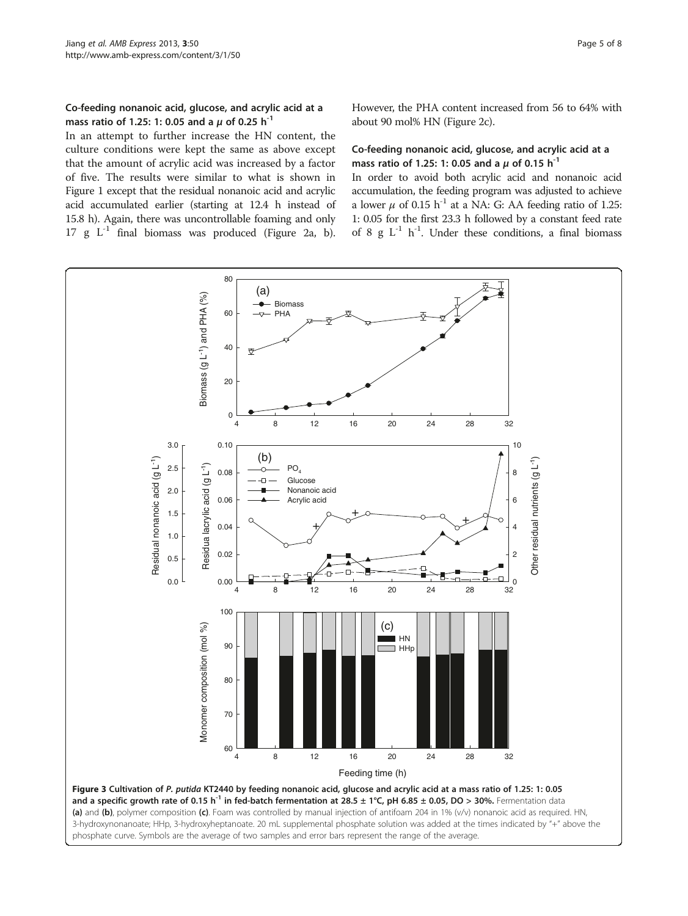## <span id="page-4-0"></span>Co-feeding nonanoic acid, glucose, and acrylic acid at a mass ratio of 1.25: 1: 0.05 and a  $\mu$  of 0.25 h<sup>-1</sup>

In an attempt to further increase the HN content, the culture conditions were kept the same as above except that the amount of acrylic acid was increased by a factor of five. The results were similar to what is shown in Figure [1](#page-2-0) except that the residual nonanoic acid and acrylic acid accumulated earlier (starting at 12.4 h instead of 15.8 h). Again, there was uncontrollable foaming and only 17 g  $L^{-1}$  final biomass was produced (Figure [2a](#page-3-0), b). However, the PHA content increased from 56 to 64% with about 90 mol% HN (Figure [2](#page-3-0)c).

## Co-feeding nonanoic acid, glucose, and acrylic acid at a mass ratio of 1.25: 1: 0.05 and a  $\mu$  of 0.15 h<sup>-1</sup>

In order to avoid both acrylic acid and nonanoic acid accumulation, the feeding program was adjusted to achieve a lower  $\mu$  of 0.15 h<sup>-1</sup> at a NA: G: AA feeding ratio of 1.25: 1: 0.05 for the first 23.3 h followed by a constant feed rate of 8 g  $L^{-1}$  h<sup>-1</sup>. Under these conditions, a final biomass

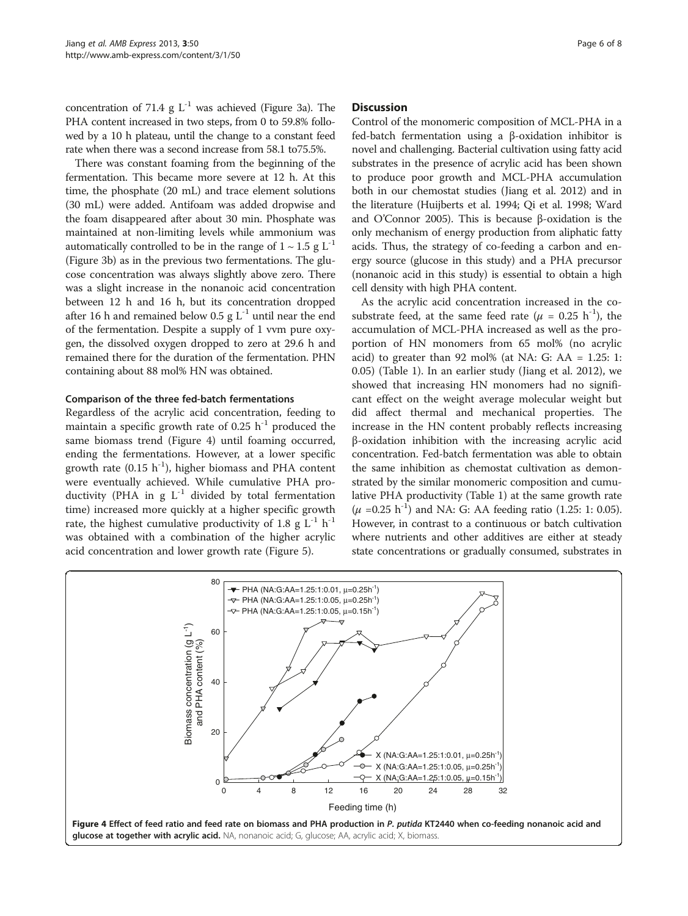concentration of 71.4 g  $L^{-1}$  was achieved (Figure [3a](#page-4-0)). The PHA content increased in two steps, from 0 to 59.8% followed by a 10 h plateau, until the change to a constant feed rate when there was a second increase from 58.1 to75.5%.

There was constant foaming from the beginning of the fermentation. This became more severe at 12 h. At this time, the phosphate (20 mL) and trace element solutions (30 mL) were added. Antifoam was added dropwise and the foam disappeared after about 30 min. Phosphate was maintained at non-limiting levels while ammonium was automatically controlled to be in the range of  $1 \sim 1.5$  g L<sup>-1</sup> (Figure [3b](#page-4-0)) as in the previous two fermentations. The glucose concentration was always slightly above zero. There was a slight increase in the nonanoic acid concentration between 12 h and 16 h, but its concentration dropped after 16 h and remained below 0.5 g  $L^{-1}$  until near the end of the fermentation. Despite a supply of 1 vvm pure oxygen, the dissolved oxygen dropped to zero at 29.6 h and remained there for the duration of the fermentation. PHN containing about 88 mol% HN was obtained.

## Comparison of the three fed-batch fermentations

Regardless of the acrylic acid concentration, feeding to maintain a specific growth rate of 0.25  $h^{-1}$  produced the same biomass trend (Figure 4) until foaming occurred, ending the fermentations. However, at a lower specific growth rate (0.15  $h^{-1}$ ), higher biomass and PHA content were eventually achieved. While cumulative PHA productivity (PHA in  $g L^{-1}$  divided by total fermentation time) increased more quickly at a higher specific growth rate, the highest cumulative productivity of 1.8 g  $L^{-1}$  h<sup>-1</sup> was obtained with a combination of the higher acrylic acid concentration and lower growth rate (Figure [5](#page-6-0)).

#### **Discussion**

Control of the monomeric composition of MCL-PHA in a fed-batch fermentation using a β-oxidation inhibitor is novel and challenging. Bacterial cultivation using fatty acid substrates in the presence of acrylic acid has been shown to produce poor growth and MCL-PHA accumulation both in our chemostat studies (Jiang et al. [2012\)](#page-7-0) and in the literature (Huijberts et al. [1994;](#page-7-0) Qi et al. [1998;](#page-7-0) Ward and O'Connor [2005](#page-7-0)). This is because β-oxidation is the only mechanism of energy production from aliphatic fatty acids. Thus, the strategy of co-feeding a carbon and energy source (glucose in this study) and a PHA precursor (nonanoic acid in this study) is essential to obtain a high cell density with high PHA content.

As the acrylic acid concentration increased in the cosubstrate feed, at the same feed rate ( $\mu$  = 0.25 h<sup>-1</sup>), the accumulation of MCL-PHA increased as well as the proportion of HN monomers from 65 mol% (no acrylic acid) to greater than 92 mol% (at NA: G: AA =  $1.25: 1$ : 0.05) (Table [1](#page-6-0)). In an earlier study (Jiang et al. [2012\)](#page-7-0), we showed that increasing HN monomers had no significant effect on the weight average molecular weight but did affect thermal and mechanical properties. The increase in the HN content probably reflects increasing β-oxidation inhibition with the increasing acrylic acid concentration. Fed-batch fermentation was able to obtain the same inhibition as chemostat cultivation as demonstrated by the similar monomeric composition and cumulative PHA productivity (Table [1](#page-6-0)) at the same growth rate  $(\mu = 0.25 \text{ h}^{-1})$  and NA: G: AA feeding ratio (1.25: 1: 0.05). However, in contrast to a continuous or batch cultivation where nutrients and other additives are either at steady state concentrations or gradually consumed, substrates in

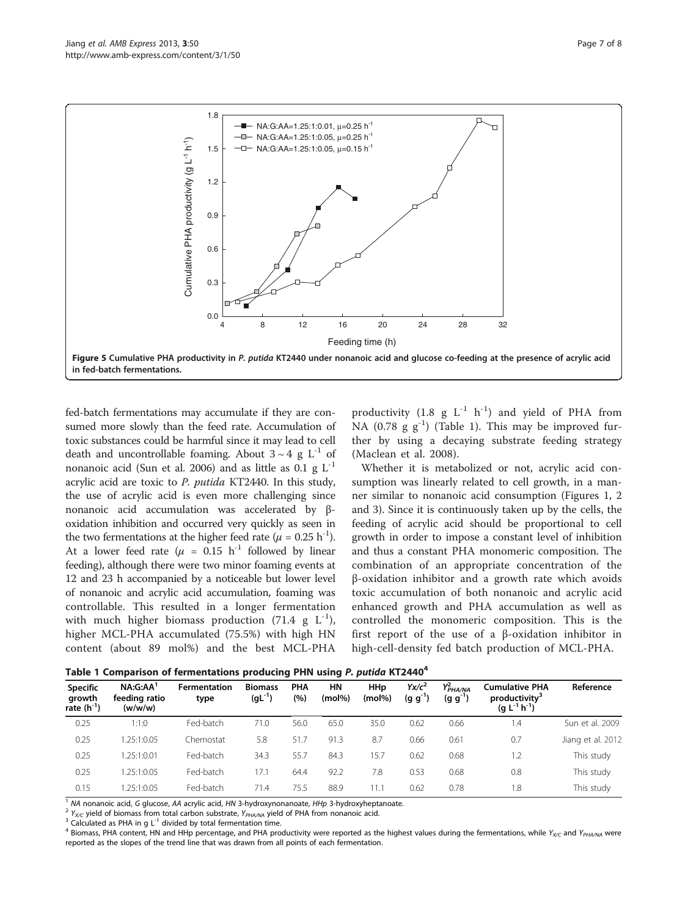<span id="page-6-0"></span>

fed-batch fermentations may accumulate if they are consumed more slowly than the feed rate. Accumulation of toxic substances could be harmful since it may lead to cell death and uncontrollable foaming. About  $3 \sim 4$  g L<sup>-1</sup> of nonanoic acid (Sun et al. [2006](#page-7-0)) and as little as  $0.1 \text{ g L}^{-1}$ acrylic acid are toxic to P. putida KT2440. In this study, the use of acrylic acid is even more challenging since nonanoic acid accumulation was accelerated by βoxidation inhibition and occurred very quickly as seen in the two fermentations at the higher feed rate ( $\mu = 0.25$  h<sup>-1</sup>). At a lower feed rate ( $\mu$  = 0.15 h<sup>-1</sup> followed by linear feeding), although there were two minor foaming events at 12 and 23 h accompanied by a noticeable but lower level of nonanoic and acrylic acid accumulation, foaming was controllable. This resulted in a longer fermentation with much higher biomass production  $(71.4 \text{ g } L^{-1})$ , higher MCL-PHA accumulated (75.5%) with high HN content (about 89 mol%) and the best MCL-PHA

productivity  $(1.8 \text{ g L}^{-1} \text{ h}^{-1})$  and yield of PHA from NA  $(0.78 \text{ g g}^{-1})$  (Table 1). This may be improved further by using a decaying substrate feeding strategy (Maclean et al. [2008](#page-7-0)).

Whether it is metabolized or not, acrylic acid consumption was linearly related to cell growth, in a manner similar to nonanoic acid consumption (Figures [1,](#page-2-0) [2](#page-3-0) and [3\)](#page-4-0). Since it is continuously taken up by the cells, the feeding of acrylic acid should be proportional to cell growth in order to impose a constant level of inhibition and thus a constant PHA monomeric composition. The combination of an appropriate concentration of the β-oxidation inhibitor and a growth rate which avoids toxic accumulation of both nonanoic and acrylic acid enhanced growth and PHA accumulation as well as controlled the monomeric composition. This is the first report of the use of a β-oxidation inhibitor in high-cell-density fed batch production of MCL-PHA.

Table 1 Comparison of fermentations producing PHN using P. putida KT2440<sup>4</sup>

| <b>Specific</b><br>growth<br>rate $(h^{-1})$ | $NA:G:AA^1$<br>feeding ratio<br>(w/w/w) | <b>Fermentation</b><br>type | <b>Biomass</b><br>$(gL^{-1})$ | <b>PHA</b><br>(%) | ΗN<br>$(mod\%)$ | <b>HHp</b><br>$(mod\%)$ | $Yx/c^2$<br>$(g g^{-1})$ | $Y_{\it PHA/NA}^2$<br>$(g g^{-1})$ | <b>Cumulative PHA</b><br>productivity <sup>3</sup><br>$(g L^{-1} h^{-1})$ | Reference         |
|----------------------------------------------|-----------------------------------------|-----------------------------|-------------------------------|-------------------|-----------------|-------------------------|--------------------------|------------------------------------|---------------------------------------------------------------------------|-------------------|
| 0.25                                         | 1:1:0                                   | Fed-batch                   | 71.0                          | 56.0              | 65.0            | 35.0                    | 0.62                     | 0.66                               | 1.4                                                                       | Sun et al. 2009   |
| 0.25                                         | 1.25:1:0.05                             | Chemostat                   | 5.8                           | 51.7              | 91.3            | 8.7                     | 0.66                     | 0.61                               | 0.7                                                                       | Jiang et al. 2012 |
| 0.25                                         | 1.25:1:0.01                             | Fed-batch                   | 34.3                          | 55.7              | 84.3            | 15.7                    | 0.62                     | 0.68                               | 1.2                                                                       | This study        |
| 0.25                                         | 1.25:1:0.05                             | Fed-batch                   | 17.1                          | 64.4              | 92.2            | 7.8                     | 0.53                     | 0.68                               | 0.8                                                                       | This study        |
| 0.15                                         | 1.25:1:0.05                             | Fed-batch                   | 71.4                          | 75.5              | 88.9            | 1.1                     | 0.62                     | 0.78                               | 1.8                                                                       | This study        |

<sup>1</sup> MA nonanoic acid, G glucose, AA acrylic acid, HN 3-hydroxynonanoate, HHp 3-hydroxyheptanoate.<br><sup>2</sup> Y<sub>XC</sub> yield of biomass from total carbon substrate, Y<sub>PHA/NA</sub> yield of PHA from nonanoic acid.<br><sup>3</sup> Calculated as PHA in reported as the slopes of the trend line that was drawn from all points of each fermentation.